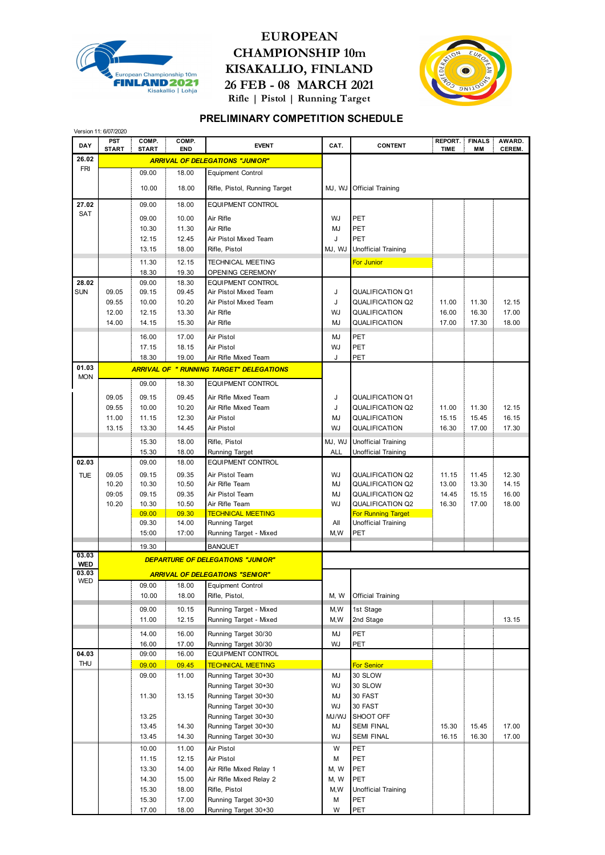

## **EUROPEAN CHAMPIONSHIP 10m KISAKALLIO, FINLAND 26 FEB - 08 MARCH 2021 Rifle | Pistol | Running Target**



## **PRELIMINARY COMPETITION SCHEDULE**

|                     | Version 11: 6/07/2020 |                       |                     |                                                  |            |                                                    |                        |                     |                        |
|---------------------|-----------------------|-----------------------|---------------------|--------------------------------------------------|------------|----------------------------------------------------|------------------------|---------------------|------------------------|
| DAY                 | PST<br><b>START</b>   | COMP.<br><b>START</b> | COMP.<br><b>END</b> | <b>EVENT</b>                                     | CAT.       | <b>CONTENT</b>                                     | REPORT.<br><b>TIME</b> | <b>FINALS</b><br>МM | AWARD.<br><b>CEREM</b> |
| 26.02               |                       |                       |                     | <b>ARRIVAL OF DELEGATIONS "JUNIOR"</b>           |            |                                                    |                        |                     |                        |
| <b>FRI</b>          |                       | 09.00                 | 18.00               | <b>Equipment Control</b>                         |            |                                                    |                        |                     |                        |
|                     |                       | 10.00                 | 18.00               | Rifle, Pistol, Running Target                    | MJ, WJ     | <b>Official Training</b>                           |                        |                     |                        |
| 27.02               |                       | 09.00                 | 18.00               | <b>EQUIPMENT CONTROL</b>                         |            |                                                    |                        |                     |                        |
| <b>SAT</b>          |                       | 09.00                 | 10.00               | Air Rifle                                        | <b>WJ</b>  | PET                                                |                        |                     |                        |
|                     |                       | 10.30                 | 11.30               | Air Rifle                                        | MJ         | PET                                                |                        |                     |                        |
|                     |                       | 12.15                 | 12.45               | Air Pistol Mixed Team                            | J          | PET                                                |                        |                     |                        |
|                     |                       | 13.15                 | 18.00               | Rifle, Pistol                                    | MJ, WJ     | <b>Unofficial Training</b>                         |                        |                     |                        |
|                     |                       | 11.30                 | 12.15               | <b>TECHNICAL MEETING</b>                         |            | <b>For Junior</b>                                  |                        |                     |                        |
|                     |                       | 18.30                 | 19.30               | OPENING CEREMONY                                 |            |                                                    |                        |                     |                        |
| 28.02               |                       | 09.00                 | 18.30               | <b>EQUIPMENT CONTROL</b>                         |            |                                                    |                        |                     |                        |
| SUN                 | 09.05                 | 09.15                 | 09.45               | Air Pistol Mixed Team                            | J          | QUALIFICATION Q1                                   |                        |                     |                        |
|                     | 09.55                 | 10.00                 | 10.20               | Air Pistol Mixed Team                            | J          | <b>QUALIFICATION Q2</b>                            | 11.00                  | 11.30               | 12.15                  |
|                     | 12.00                 | 12.15                 | 13.30               | Air Rifle                                        | WJ         | QUALIFICATION                                      | 16.00                  | 16.30               | 17.00                  |
|                     | 14.00                 | 14.15                 | 15.30               | Air Rifle                                        | <b>MJ</b>  | QUALIFICATION                                      | 17.00                  | 17.30               | 18.00                  |
|                     |                       | 16.00                 | 17.00               | Air Pistol                                       | MJ         | PET                                                |                        |                     |                        |
|                     |                       | 17.15                 | 18.15               | Air Pistol                                       | WJ         | PET                                                |                        |                     |                        |
| 01.03               |                       | 18.30                 | 19.00               | Air Rifle Mixed Team                             | J          | PET                                                |                        |                     |                        |
| <b>MON</b>          |                       |                       |                     | <b>ARRIVAL OF " RUNNING TARGET" DELEGATIONS</b>  |            |                                                    |                        |                     |                        |
|                     |                       | 09.00                 | 18.30               | <b>EQUIPMENT CONTROL</b>                         |            |                                                    |                        |                     |                        |
|                     | 09.05                 | 09.15                 | 09.45               | Air Rifle Mixed Team                             | J          | QUALIFICATION Q1                                   |                        |                     |                        |
|                     | 09.55                 | 10.00                 | 10.20               | Air Rifle Mixed Team                             | J          | QUALIFICATION Q2                                   | 11.00                  | 11.30               | 12.15                  |
|                     | 11.00                 | 11.15                 | 12.30               | Air Pistol                                       | <b>MJ</b>  | QUALIFICATION                                      | 15.15                  | 15.45               | 16.15                  |
|                     | 13.15                 | 13.30                 | 14.45               | Air Pistol                                       | WJ         | QUALIFICATION                                      | 16.30                  | 17.00               | 17.30                  |
|                     |                       | 15.30                 | 18.00               | Rifle, Pistol                                    | MJ, WJ     | Unofficial Training                                |                        |                     |                        |
|                     |                       | 15.30                 | 18.00               | <b>Running Target</b>                            | <b>ALL</b> | <b>Unofficial Training</b>                         |                        |                     |                        |
| 02.03               |                       | 09.00                 | 18.00               | <b>EQUIPMENT CONTROL</b>                         |            |                                                    |                        |                     |                        |
| <b>TUE</b>          | 09.05                 | 09.15                 | 09.35               | Air Pistol Team                                  | WJ         | <b>QUALIFICATION Q2</b>                            | 11.15                  | 11.45               | 12.30                  |
|                     | 10.20<br>09:05        | 10.30<br>09.15        | 10.50<br>09.35      | Air Rifle Team<br>Air Pistol Team                | MJ<br>MJ   | <b>QUALIFICATION Q2</b><br><b>QUALIFICATION Q2</b> | 13.00<br>14.45         | 13.30<br>15.15      | 14.15<br>16.00         |
|                     | 10.20                 | 10.30                 | 10.50               | Air Rifle Team                                   | WJ         | <b>QUALIFICATION Q2</b>                            | 16.30                  | 17.00               | 18.00                  |
|                     |                       | 09.00                 | 09.30               | <b>TECHNICAL MEETING</b>                         |            | <b>For Running Target</b>                          |                        |                     |                        |
|                     |                       | 09.30                 | 14.00               | <b>Running Target</b>                            | All        | Unofficial Training                                |                        |                     |                        |
|                     |                       | 15:00                 | 17:00               | Running Target - Mixed                           | M, W       | PET                                                |                        |                     |                        |
|                     |                       | 19.30                 |                     | <b>BANQUET</b>                                   |            |                                                    |                        |                     |                        |
| 03.03<br><b>WED</b> |                       |                       |                     | <b>DEPARTURE OF DELEGATIONS "JUNIOR"</b>         |            |                                                    |                        |                     |                        |
| 03.03               |                       |                       |                     | <b>ARRIVAL OF DELEGATIONS "SENIOR"</b>           |            |                                                    |                        |                     |                        |
| WED                 |                       | 09.00                 | 18.00               | <b>Equipment Control</b>                         |            |                                                    |                        |                     |                        |
|                     |                       | 10.00                 | 18.00               | Rifle, Pistol,                                   | M, W       | <b>Official Training</b>                           |                        |                     |                        |
|                     |                       | 09.00                 | 10.15               | Running Target - Mixed                           | M, W       | 1st Stage                                          |                        |                     |                        |
|                     |                       | 11.00                 | 12.15               | Running Target - Mixed                           | M, W       | 2nd Stage                                          |                        |                     | 13.15                  |
|                     |                       | 14.00                 | 16.00               | Running Target 30/30                             | MJ         | PET                                                |                        |                     |                        |
|                     |                       | 16.00                 | 17.00               | Running Target 30/30                             | WJ         | PET                                                |                        |                     |                        |
| 04.03<br><b>THU</b> |                       | 09:00                 | 16.00               | <b>EQUIPMENT CONTROL</b>                         |            |                                                    |                        |                     |                        |
|                     |                       | 09.00<br>09.00        | 09.45               | <b>TECHNICAL MEETING</b><br>Running Target 30+30 | MJ         | <b>For Senior</b><br>30 SLOW                       |                        |                     |                        |
|                     |                       |                       | 11.00               | Running Target 30+30                             | WJ         | 30 SLOW                                            |                        |                     |                        |
|                     |                       | 11.30                 | 13.15               | Running Target 30+30                             | MJ         | 30 FAST                                            |                        |                     |                        |
|                     |                       |                       |                     | Running Target 30+30                             | WJ         | 30 FAST                                            |                        |                     |                        |
|                     |                       | 13.25                 |                     | Running Target 30+30                             | MJ/WJ      | SHOOT OFF                                          |                        |                     |                        |
|                     |                       | 13.45                 | 14.30               | Running Target 30+30                             | MJ         | <b>SEMI FINAL</b>                                  | 15.30                  | 15.45               | 17.00                  |
|                     |                       | 13.45                 | 14.30               | Running Target 30+30                             | WJ         | <b>SEMI FINAL</b>                                  | 16.15                  | 16.30               | 17.00                  |
|                     |                       | 10.00                 | 11.00               | Air Pistol                                       | W          | PET                                                |                        |                     |                        |
|                     |                       | 11.15                 | 12.15               | Air Pistol                                       | М          | PET                                                |                        |                     |                        |
|                     |                       | 13.30                 | 14.00               | Air Rifle Mixed Relay 1                          | M, W       | <b>PET</b>                                         |                        |                     |                        |
|                     |                       | 14.30                 | 15.00               | Air Rifle Mixed Relay 2                          | M, W       | PET                                                |                        |                     |                        |
|                     |                       | 15.30                 | 18.00               | Rifle, Pistol                                    | M, W       | Unofficial Training                                |                        |                     |                        |
|                     |                       | 15.30                 | 17.00               | Running Target 30+30                             | м          | PET                                                |                        |                     |                        |
|                     |                       | 17.00                 | 18.00               | Running Target 30+30                             | W          | PET                                                |                        |                     |                        |